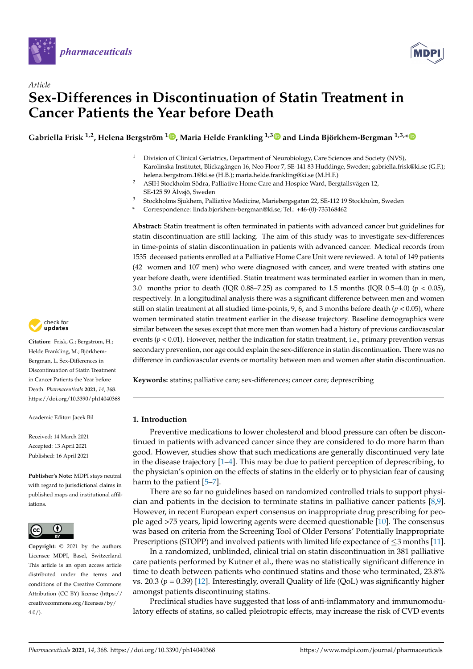

*Article*



# **Sex-Differences in Discontinuation of Statin Treatment in Cancer Patients the Year before Death**

**Gabriella Frisk 1,2, Helena Bergström <sup>1</sup> [,](https://orcid.org/0000-0003-3079-0202) Maria Helde Frankling 1,[3](https://orcid.org/0000-0001-8444-3623) and Linda Björkhem-Bergman 1,3,[\\*](https://orcid.org/0000-0003-3505-9283)**

- <sup>1</sup> Division of Clinical Geriatrics, Department of Neurobiology, Care Sciences and Society (NVS), Karolinska Institutet, Blickagången 16, Neo Floor 7, SE-141 83 Huddinge, Sweden; gabriella.frisk@ki.se (G.F.); helena.bergstrom.1@ki.se (H.B.); maria.helde.frankling@ki.se (M.H.F.)
- <sup>2</sup> ASIH Stockholm Södra, Palliative Home Care and Hospice Ward, Bergtallsvägen 12, SE-125 59 Älvsjö, Sweden
- <sup>3</sup> Stockholms Sjukhem, Palliative Medicine, Mariebergsgatan 22, SE-112 19 Stockholm, Sweden
- **\*** Correspondence: linda.bjorkhem-bergman@ki.se; Tel.: +46-(0)-733168462

**Abstract:** Statin treatment is often terminated in patients with advanced cancer but guidelines for statin discontinuation are still lacking. The aim of this study was to investigate sex-differences in time-points of statin discontinuation in patients with advanced cancer. Medical records from 1535 deceased patients enrolled at a Palliative Home Care Unit were reviewed. A total of 149 patients (42 women and 107 men) who were diagnosed with cancer, and were treated with statins one year before death, were identified. Statin treatment was terminated earlier in women than in men, 3.0 months prior to death (IQR 0.88–7.25) as compared to 1.5 months (IQR 0.5–4.0) ( $p < 0.05$ ), respectively. In a longitudinal analysis there was a significant difference between men and women still on statin treatment at all studied time-points, 9, 6, and 3 months before death (*p* < 0.05), where women terminated statin treatment earlier in the disease trajectory. Baseline demographics were similar between the sexes except that more men than women had a history of previous cardiovascular events ( $p < 0.01$ ). However, neither the indication for statin treatment, i.e., primary prevention versus secondary prevention, nor age could explain the sex-difference in statin discontinuation. There was no difference in cardiovascular events or mortality between men and women after statin discontinuation.

**Keywords:** statins; palliative care; sex-differences; cancer care; deprescribing

#### **1. Introduction**

Preventive medications to lower cholesterol and blood pressure can often be discontinued in patients with advanced cancer since they are considered to do more harm than good. However, studies show that such medications are generally discontinued very late in the disease trajectory [\[1–](#page-7-0)[4\]](#page-7-1). This may be due to patient perception of deprescribing, to the physician's opinion on the effects of statins in the elderly or to physician fear of causing harm to the patient [\[5](#page-7-2)-7].

There are so far no guidelines based on randomized controlled trials to support physician and patients in the decision to terminate statins in palliative cancer patients [\[8,](#page-7-4)[9\]](#page-7-5). However, in recent European expert consensus on inappropriate drug prescribing for people aged >75 years, lipid lowering agents were deemed questionable [\[10\]](#page-7-6). The consensus was based on criteria from the Screening Tool of Older Persons' Potentially Inappropriate Prescriptions (STOPP) and involved patients with limited life expectance of  $\leq$ 3 months [\[11\]](#page-7-7).

In a randomized, unblinded, clinical trial on statin discontinuation in 381 palliative care patients performed by Kutner et al., there was no statistically significant difference in time to death between patients who continued statins and those who terminated, 23.8% vs. 20.3  $(p = 0.39)$  [\[12\]](#page-7-8). Interestingly, overall Quality of life (QoL) was significantly higher amongst patients discontinuing statins.

Preclinical studies have suggested that loss of anti-inflammatory and immunomodulatory effects of statins, so called pleiotropic effects, may increase the risk of CVD events



**Citation:** Frisk, G.; Bergström, H.; Helde Frankling, M.; Björkhem-Bergman, L. Sex-Differences in Discontinuation of Statin Treatment in Cancer Patients the Year before Death. *Pharmaceuticals* **2021**, *14*, 368. <https://doi.org/10.3390/ph14040368>

Academic Editor: Jacek Bil

Received: 14 March 2021 Accepted: 13 April 2021 Published: 16 April 2021

**Publisher's Note:** MDPI stays neutral with regard to jurisdictional claims in published maps and institutional affiliations.



**Copyright:** © 2021 by the authors. Licensee MDPI, Basel, Switzerland. This article is an open access article distributed under the terms and conditions of the Creative Commons Attribution (CC BY) license (https:/[/](https://creativecommons.org/licenses/by/4.0/) [creativecommons.org/licenses/by/](https://creativecommons.org/licenses/by/4.0/)  $4.0/$ ).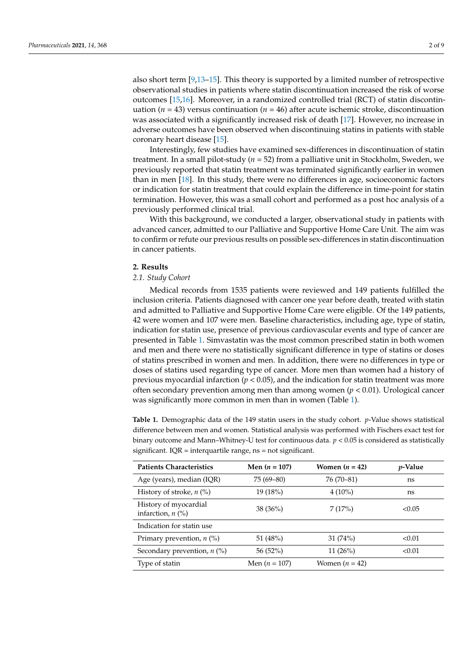also short term [\[9,](#page-7-5)[13](#page-7-9)[–15\]](#page-7-10). This theory is supported by a limited number of retrospective observational studies in patients where statin discontinuation increased the risk of worse outcomes [\[15](#page-7-10)[,16\]](#page-7-11). Moreover, in a randomized controlled trial (RCT) of statin discontinuation ( $n = 43$ ) versus continuation ( $n = 46$ ) after acute ischemic stroke, discontinuation was associated with a significantly increased risk of death [\[17\]](#page-7-12). However, no increase in adverse outcomes have been observed when discontinuing statins in patients with stable coronary heart disease [\[15\]](#page-7-10).

Interestingly, few studies have examined sex-differences in discontinuation of statin treatment. In a small pilot-study (*n* = 52) from a palliative unit in Stockholm, Sweden, we previously reported that statin treatment was terminated significantly earlier in women than in men [\[18\]](#page-7-13). In this study, there were no differences in age, socioeconomic factors or indication for statin treatment that could explain the difference in time-point for statin termination. However, this was a small cohort and performed as a post hoc analysis of a previously performed clinical trial.

With this background, we conducted a larger, observational study in patients with advanced cancer, admitted to our Palliative and Supportive Home Care Unit. The aim was to confirm or refute our previous results on possible sex-differences in statin discontinuation in cancer patients.

#### **2. Results**

#### *2.1. Study Cohort*

Medical records from 1535 patients were reviewed and 149 patients fulfilled the inclusion criteria. Patients diagnosed with cancer one year before death, treated with statin and admitted to Palliative and Supportive Home Care were eligible. Of the 149 patients, 42 were women and 107 were men. Baseline characteristics, including age, type of statin, indication for statin use, presence of previous cardiovascular events and type of cancer are presented in Table [1.](#page-2-0) Simvastatin was the most common prescribed statin in both women and men and there were no statistically significant difference in type of statins or doses of statins prescribed in women and men. In addition, there were no differences in type or doses of statins used regarding type of cancer. More men than women had a history of previous myocardial infarction (*p* < 0.05), and the indication for statin treatment was more often secondary prevention among men than among women (*p* < 0.01). Urological cancer was significantly more common in men than in women (Table [1\)](#page-2-0).

**Table 1.** Demographic data of the 149 statin users in the study cohort. *p*-Value shows statistical difference between men and women. Statistical analysis was performed with Fischers exact test for binary outcome and Mann–Whitney-U test for continuous data. *p* < 0.05 is considered as statistically significant.  $IQR =$  interquartile range,  $ns =$  not significant.

| <b>Patients Characteristics</b>              | Men $(n = 107)$ | Women $(n = 42)$ | <i>p</i> -Value |
|----------------------------------------------|-----------------|------------------|-----------------|
| Age (years), median (IQR)                    | $75(69 - 80)$   | 76 (70–81)       | ns              |
| History of stroke, $n$ (%)                   | 19(18%)         | $4(10\%)$        | ns              |
| History of myocardial<br>infarction, $n$ (%) | $38(36\%)$      | 7(17%)           | < 0.05          |
| Indication for statin use                    |                 |                  |                 |
| Primary prevention, $n$ (%)                  | 51 (48%)        | 31(74%)          | < 0.01          |
| Secondary prevention, $n$ (%)                | 56(52%)         | 11 $(26%)$       | < 0.01          |
| Type of statin                               | Men $(n = 107)$ | Women $(n = 42)$ |                 |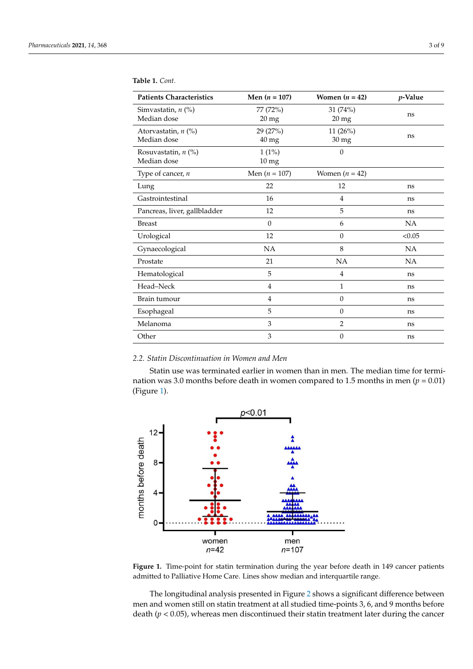| <b>Patients Characteristics</b> | Men $(n = 107)$    | Women $(n = 42)$ | <i>v</i> -Value |
|---------------------------------|--------------------|------------------|-----------------|
| Simvastatin, n (%)              | 77 (72%)           | 31 (74%)         | ns              |
| Median dose                     | $20$ mg            | $20 \text{ mg}$  |                 |
| Atorvastatin, $n$ (%)           | 29 (27%)           | 11(26%)          | ns              |
| Median dose                     | $40 \,\mathrm{mg}$ | $30 \text{ mg}$  |                 |
| Rosuvastatin, $n$ (%)           | $1(1\%)$           | $\theta$         |                 |
| Median dose                     | 10 <sub>mg</sub>   |                  |                 |
| Type of cancer, $n$             | Men ( $n = 107$ )  | Women $(n = 42)$ |                 |
| Lung                            | 22                 | 12               | ns              |
| Gastrointestinal                | 16                 | 4                | ns              |
| Pancreas, liver, gallbladder    | 12                 | 5                | ns              |
| <b>Breast</b>                   | $\mathbf{0}$       | 6                | NA              |
| Urological                      | 12                 | $\mathbf{0}$     | < 0.05          |
| Gynaecological                  | NA                 | 8                | NA              |
| Prostate                        | 21                 | <b>NA</b>        | NA              |
| Hematological                   | 5                  | $\overline{4}$   | ns              |
| Head-Neck                       | $\overline{4}$     | $\mathbf{1}$     | ns              |
| Brain tumour                    | $\,4\,$            | $\mathbf{0}$     | ns              |
| Esophageal                      | 5                  | $\mathbf{0}$     | ns              |
| Melanoma                        | $\mathfrak{Z}$     | $\overline{2}$   | ns              |
| Other                           | 3                  | $\theta$         | ns              |

#### <span id="page-2-0"></span>**Table 1.** *Cont.*

## *2.2. Statin Discontinuation in Women and Men 2.2. Statin Discontinuation in Women and Men*

Statin use was terminated earlier in women than in men. The median time for termi-Statin use was terminated earlier in women than in men. The median time for termination was 3.0 months before death in women compared to 1.5 months in men ( $p = 0.01$ ) (Figure [1\)](#page-2-1). (Figure 1).

<span id="page-2-1"></span>

**Figure 1.** Time-point for statin termination during the year before death in 149 cancer patients **Figure 1.** Time-point for statin termination during the year before death in 149 cancer patients admitted to Palliative Home Care. Lines show median and interquartile range. admitted to Palliative Home Care. Lines show median and interquartile range.

The longitudinal analysis presented in Fi[gur](#page-3-0)e 2 shows a significant difference between men and women still on statin treatment at all studied time-points 3, 6, and 9 months before death ( $p < 0.05$ ), whereas men discontinued their statin treatment later during the cancer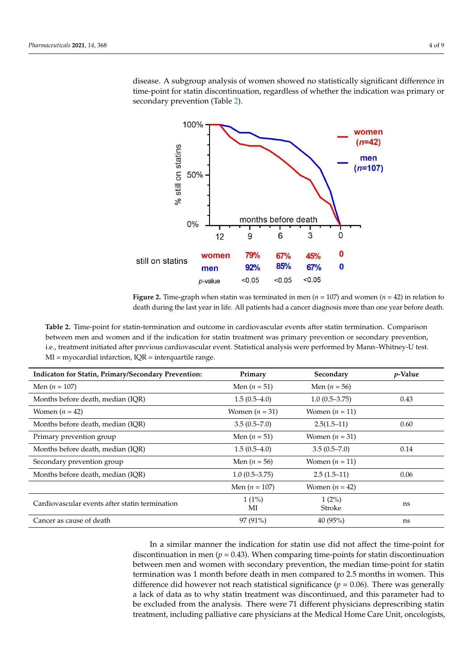disease. A subgroup analysis of women showed no statistically significant difference in time-point for statin discontinuation, regardless of whether the indication was primary or cases derive recordion. Table 2) secondary prevention (Table [2\)](#page-3-1).

<span id="page-3-0"></span>

Figure 2. Time-graph when statin was terminated in men ( $n = 107$ ) and women ( $n = 42$ ) in relation to death during the last year in life. All patients had a cancer diagnosis more than one year before death.

<span id="page-3-1"></span>**Table 2.** Time-point for statin-termination and outcome in cardiovascular events after statin termination. Comparison between men and women and if the indication for statin treatment was primary prevention or secondary prevention, i.e., treatment initiated after previous cardiovascular event. Statistical analysis were performed by Mann–Whitney-U test.<br>.  $\text{MI}$  = myocardial infarction, IQR = interquartile range. **Table 2.** Time-point for statin-termination and outcome in cardiovascular events after statin termination. Comparison

| <b>Indicaton for Statin, Primary/Secondary Prevention:</b> | Primary          | Secondary          | $p$ -Value |
|------------------------------------------------------------|------------------|--------------------|------------|
| Men $(n = 107)$                                            | Men $(n = 51)$   | Men $(n = 56)$     |            |
| Months before death, median (IQR)                          | $1.5(0.5-4.0)$   | $1.0(0.5-3.75)$    | 0.43       |
| Women $(n = 42)$                                           | Women $(n = 31)$ | Women $(n = 11)$   |            |
| Months before death, median (IQR)                          | $3.5(0.5 - 7.0)$ | $2.5(1.5-11)$      | 0.60       |
| Primary prevention group                                   | Men $(n = 51)$   | Women $(n = 31)$   |            |
| Months before death, median (IQR)                          | $1.5(0.5-4.0)$   | $3.5(0.5 - 7.0)$   | 0.14       |
| Secondary prevention group                                 | Men $(n = 56)$   | Women $(n = 11)$   |            |
| Months before death, median (IQR)                          | $1.0(0.5-3.75)$  | $2.5(1.5-11)$      | 0.06       |
|                                                            | Men $(n = 107)$  | Women $(n = 42)$   |            |
| Cardiovascular events after statin termination             | $1(1\%)$<br>МI   | $1(2\%)$<br>Stroke | ns         |
| Cancer as cause of death                                   | $97(91\%)$       | 40(95%)            | ns         |
|                                                            |                  |                    |            |

In a similar manner the indication for statin use did not affect the time-point for discontinuation in men  $(p = 0.43)$ . When comparing time-points for statin discontinuation  $\frac{1}{2}$  between men and women with secondary prevention, the median time-point for stating. termination was 1 month before death in men compared to 2.5 months in women. This termination was 1 month before death in men compared to 2.5 months in women. This difference did however not reach statistical significance  $(p = 0.06)$ . There was generally a lack of data as to why statin treatment was discontinued, and this parameter had to a lack of data as to why statin treatment was discontinued, and this parameter had to be excluded from the analysis. There were 71 different physicians deprescribing statin treatment, including palliative care physicians at the Medical Home Care Unit, oncologists,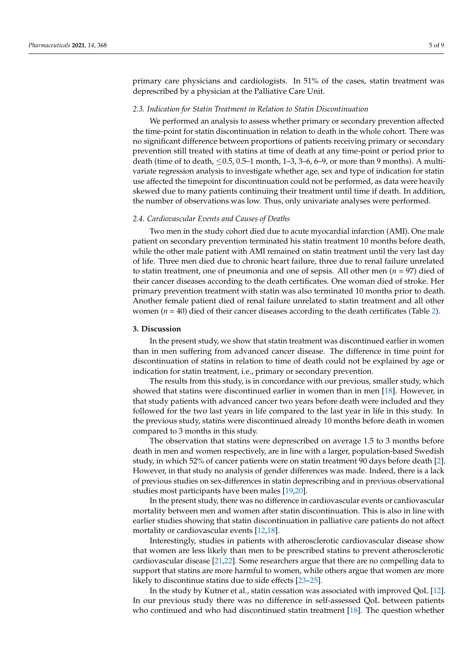primary care physicians and cardiologists. In 51% of the cases, statin treatment was deprescribed by a physician at the Palliative Care Unit.

#### *2.3. Indication for Statin Treatment in Relation to Statin Discontinuation*

We performed an analysis to assess whether primary or secondary prevention affected the time-point for statin discontinuation in relation to death in the whole cohort. There was no significant difference between proportions of patients receiving primary or secondary prevention still treated with statins at time of death at any time-point or period prior to death (time of to death,  $\leq 0.5$ , 0.5–1 month, 1–3, 3–6, 6–9, or more than 9 months). A multivariate regression analysis to investigate whether age, sex and type of indication for statin use affected the timepoint for discontinuation could not be performed, as data were heavily skewed due to many patients continuing their treatment until time if death. In addition, the number of observations was low. Thus, only univariate analyses were performed.

### *2.4. Cardiovascular Events and Causes of Deaths*

Two men in the study cohort died due to acute myocardial infarction (AMI). One male patient on secondary prevention terminated his statin treatment 10 months before death, while the other male patient with AMI remained on statin treatment until the very last day of life. Three men died due to chronic heart failure, three due to renal failure unrelated to statin treatment, one of pneumonia and one of sepsis. All other men (*n* = 97) died of their cancer diseases according to the death certificates. One woman died of stroke. Her primary prevention treatment with statin was also terminated 10 months prior to death. Another female patient died of renal failure unrelated to statin treatment and all other women ( $n = 40$ ) died of their cancer diseases according to the death certificates (Table [2\)](#page-3-1).

#### **3. Discussion**

In the present study, we show that statin treatment was discontinued earlier in women than in men suffering from advanced cancer disease. The difference in time point for discontinuation of statins in relation to time of death could not be explained by age or indication for statin treatment, i.e., primary or secondary prevention.

The results from this study, is in concordance with our previous, smaller study, which showed that statins were discontinued earlier in women than in men [\[18\]](#page-7-13). However, in that study patients with advanced cancer two years before death were included and they followed for the two last years in life compared to the last year in life in this study. In the previous study, statins were discontinued already 10 months before death in women compared to 3 months in this study.

The observation that statins were deprescribed on average 1.5 to 3 months before death in men and women respectively, are in line with a larger, population-based Swedish study, in which 52% of cancer patients were on statin treatment 90 days before death [\[2\]](#page-7-14). However, in that study no analysis of gender differences was made. Indeed, there is a lack of previous studies on sex-differences in statin deprescribing and in previous observational studies most participants have been males [\[19](#page-7-15)[,20\]](#page-7-16).

In the present study, there was no difference in cardiovascular events or cardiovascular mortality between men and women after statin discontinuation. This is also in line with earlier studies showing that statin discontinuation in palliative care patients do not affect mortality or cardiovascular events [\[12](#page-7-8)[,18\]](#page-7-13).

Interestingly, studies in patients with atherosclerotic cardiovascular disease show that women are less likely than men to be prescribed statins to prevent atherosclerotic cardiovascular disease [\[21,](#page-7-17)[22\]](#page-8-0). Some researchers argue that there are no compelling data to support that statins are more harmful to women, while others argue that women are more likely to discontinue statins due to side effects [\[23](#page-8-1)[–25\]](#page-8-2).

In the study by Kutner et al., statin cessation was associated with improved QoL [\[12\]](#page-7-8). In our previous study there was no difference in self-assessed QoL between patients who continued and who had discontinued statin treatment [\[18\]](#page-7-13). The question whether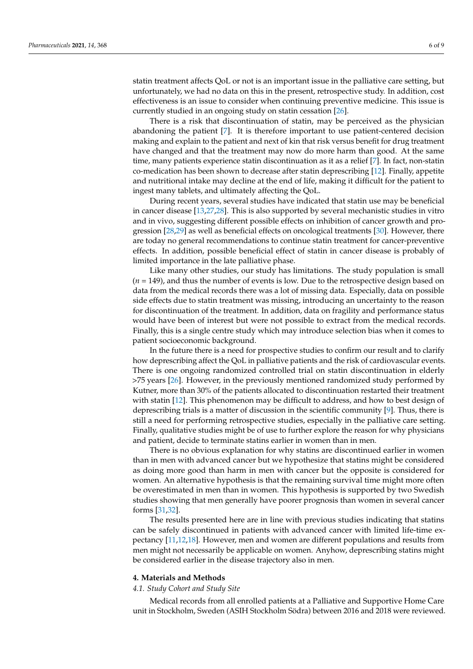statin treatment affects QoL or not is an important issue in the palliative care setting, but unfortunately, we had no data on this in the present, retrospective study. In addition, cost effectiveness is an issue to consider when continuing preventive medicine. This issue is currently studied in an ongoing study on statin cessation [\[26\]](#page-8-3).

There is a risk that discontinuation of statin, may be perceived as the physician abandoning the patient [\[7\]](#page-7-3). It is therefore important to use patient-centered decision making and explain to the patient and next of kin that risk versus benefit for drug treatment have changed and that the treatment may now do more harm than good. At the same time, many patients experience statin discontinuation as it as a relief [\[7\]](#page-7-3). In fact, non-statin co-medication has been shown to decrease after statin deprescribing [\[12\]](#page-7-8). Finally, appetite and nutritional intake may decline at the end of life, making it difficult for the patient to ingest many tablets, and ultimately affecting the QoL.

During recent years, several studies have indicated that statin use may be beneficial in cancer disease [\[13,](#page-7-9)[27,](#page-8-4)[28\]](#page-8-5). This is also supported by several mechanistic studies in vitro and in vivo, suggesting different possible effects on inhibition of cancer growth and progression [\[28,](#page-8-5)[29\]](#page-8-6) as well as beneficial effects on oncological treatments [\[30\]](#page-8-7). However, there are today no general recommendations to continue statin treatment for cancer-preventive effects. In addition, possible beneficial effect of statin in cancer disease is probably of limited importance in the late palliative phase.

Like many other studies, our study has limitations. The study population is small (*n* = 149), and thus the number of events is low. Due to the retrospective design based on data from the medical records there was a lot of missing data. Especially, data on possible side effects due to statin treatment was missing, introducing an uncertainty to the reason for discontinuation of the treatment. In addition, data on fragility and performance status would have been of interest but were not possible to extract from the medical records. Finally, this is a single centre study which may introduce selection bias when it comes to patient socioeconomic background.

In the future there is a need for prospective studies to confirm our result and to clarify how deprescribing affect the QoL in palliative patients and the risk of cardiovascular events. There is one ongoing randomized controlled trial on statin discontinuation in elderly >75 years [\[26\]](#page-8-3). However, in the previously mentioned randomized study performed by Kutner, more than 30% of the patients allocated to discontinuation restarted their treatment with statin [\[12\]](#page-7-8). This phenomenon may be difficult to address, and how to best design of deprescribing trials is a matter of discussion in the scientific community [\[9\]](#page-7-5). Thus, there is still a need for performing retrospective studies, especially in the palliative care setting. Finally, qualitative studies might be of use to further explore the reason for why physicians and patient, decide to terminate statins earlier in women than in men.

There is no obvious explanation for why statins are discontinued earlier in women than in men with advanced cancer but we hypothesize that statins might be considered as doing more good than harm in men with cancer but the opposite is considered for women. An alternative hypothesis is that the remaining survival time might more often be overestimated in men than in women. This hypothesis is supported by two Swedish studies showing that men generally have poorer prognosis than women in several cancer forms [\[31,](#page-8-8)[32\]](#page-8-9).

The results presented here are in line with previous studies indicating that statins can be safely discontinued in patients with advanced cancer with limited life-time expectancy [\[11,](#page-7-7)[12](#page-7-8)[,18\]](#page-7-13). However, men and women are different populations and results from men might not necessarily be applicable on women. Anyhow, deprescribing statins might be considered earlier in the disease trajectory also in men.

#### **4. Materials and Methods**

#### *4.1. Study Cohort and Study Site*

Medical records from all enrolled patients at a Palliative and Supportive Home Care unit in Stockholm, Sweden (ASIH Stockholm Södra) between 2016 and 2018 were reviewed.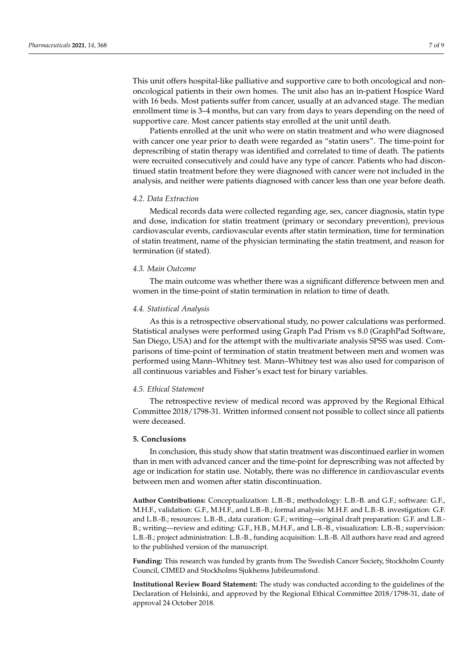This unit offers hospital-like palliative and supportive care to both oncological and nononcological patients in their own homes. The unit also has an in-patient Hospice Ward with 16 beds. Most patients suffer from cancer, usually at an advanced stage. The median enrollment time is 3–4 months, but can vary from days to years depending on the need of supportive care. Most cancer patients stay enrolled at the unit until death.

Patients enrolled at the unit who were on statin treatment and who were diagnosed with cancer one year prior to death were regarded as "statin users". The time-point for deprescribing of statin therapy was identified and correlated to time of death. The patients were recruited consecutively and could have any type of cancer. Patients who had discontinued statin treatment before they were diagnosed with cancer were not included in the analysis, and neither were patients diagnosed with cancer less than one year before death.

#### *4.2. Data Extraction*

Medical records data were collected regarding age, sex, cancer diagnosis, statin type and dose, indication for statin treatment (primary or secondary prevention), previous cardiovascular events, cardiovascular events after statin termination, time for termination of statin treatment, name of the physician terminating the statin treatment, and reason for termination (if stated).

#### *4.3. Main Outcome*

The main outcome was whether there was a significant difference between men and women in the time-point of statin termination in relation to time of death.

#### *4.4. Statistical Analysis*

As this is a retrospective observational study, no power calculations was performed. Statistical analyses were performed using Graph Pad Prism vs 8.0 (GraphPad Software, San Diego, USA) and for the attempt with the multivariate analysis SPSS was used. Comparisons of time-point of termination of statin treatment between men and women was performed using Mann–Whitney test. Mann–Whitney test was also used for comparison of all continuous variables and Fisher's exact test for binary variables.

#### *4.5. Ethical Statement*

The retrospective review of medical record was approved by the Regional Ethical Committee 2018/1798-31. Written informed consent not possible to collect since all patients were deceased.

#### **5. Conclusions**

In conclusion, this study show that statin treatment was discontinued earlier in women than in men with advanced cancer and the time-point for deprescribing was not affected by age or indication for statin use. Notably, there was no difference in cardiovascular events between men and women after statin discontinuation.

**Author Contributions:** Conceptualization: L.B.-B.; methodology: L.B.-B. and G.F.; software: G.F., M.H.F., validation: G.F., M.H.F., and L.B.-B.; formal analysis: M.H.F. and L.B.-B. investigation: G.F. and L.B.-B.; resources: L.B.-B., data curation: G.F.; writing—original draft preparation: G.F. and L.B.- B.; writing—review and editing: G.F., H.B., M.H.F., and L.B.-B., visualization: L.B.-B.; supervision: L.B.-B.; project administration: L.B.-B., funding acquisition: L.B.-B. All authors have read and agreed to the published version of the manuscript.

**Funding:** This research was funded by grants from The Swedish Cancer Society, Stockholm County Council, CIMED and Stockholms Sjukhems Jubileumsfond.

**Institutional Review Board Statement:** The study was conducted according to the guidelines of the Declaration of Helsinki, and approved by the Regional Ethical Committee 2018/1798-31, date of approval 24 October 2018.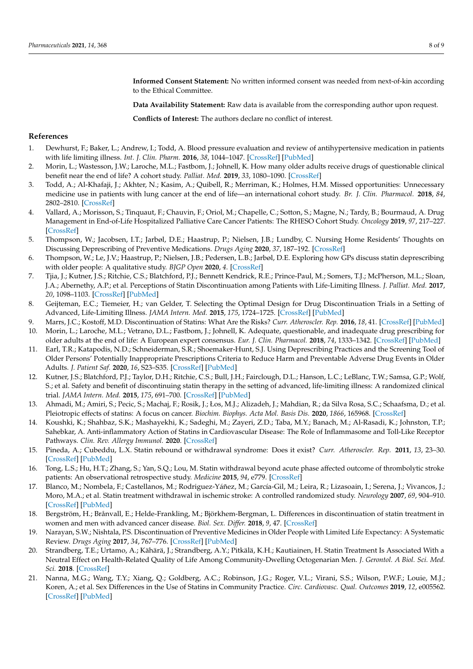**Informed Consent Statement:** No written informed consent was needed from next-of-kin according to the Ethical Committee.

**Data Availability Statement:** Raw data is available from the corresponding author upon request.

**Conflicts of Interest:** The authors declare no conflict of interest.

#### **References**

- <span id="page-7-0"></span>1. Dewhurst, F.; Baker, L.; Andrew, I.; Todd, A. Blood pressure evaluation and review of antihypertensive medication in patients with life limiting illness. *Int. J. Clin. Pharm.* **2016**, *38*, 1044–1047. [\[CrossRef\]](http://doi.org/10.1007/s11096-016-0327-0) [\[PubMed\]](http://www.ncbi.nlm.nih.gov/pubmed/27343121)
- <span id="page-7-14"></span>2. Morin, L.; Wastesson, J.W.; Laroche, M.L.; Fastbom, J.; Johnell, K. How many older adults receive drugs of questionable clinical benefit near the end of life? A cohort study. *Palliat. Med.* **2019**, *33*, 1080–1090. [\[CrossRef\]](http://doi.org/10.1177/0269216319854013)
- 3. Todd, A.; Al-Khafaji, J.; Akhter, N.; Kasim, A.; Quibell, R.; Merriman, K.; Holmes, H.M. Missed opportunities: Unnecessary medicine use in patients with lung cancer at the end of life—an international cohort study. *Br. J. Clin. Pharmacol.* **2018**, *84*, 2802–2810. [\[CrossRef\]](http://doi.org/10.1111/bcp.13735)
- <span id="page-7-1"></span>4. Vallard, A.; Morisson, S.; Tinquaut, F.; Chauvin, F.; Oriol, M.; Chapelle, C.; Sotton, S.; Magne, N.; Tardy, B.; Bourmaud, A. Drug Management in End-of-Life Hospitalized Palliative Care Cancer Patients: The RHESO Cohort Study. *Oncology* **2019**, *97*, 217–227. [\[CrossRef\]](http://doi.org/10.1159/000500783)
- <span id="page-7-2"></span>5. Thompson, W.; Jacobsen, I.T.; Jarbøl, D.E.; Haastrup, P.; Nielsen, J.B.; Lundby, C. Nursing Home Residents' Thoughts on Discussing Deprescribing of Preventive Medications. *Drugs Aging* **2020**, *37*, 187–192. [\[CrossRef\]](http://doi.org/10.1007/s40266-020-00746-1)
- 6. Thompson, W.; Le, J.V.; Haastrup, P.; Nielsen, J.B.; Pedersen, L.B.; Jarbøl, D.E. Exploring how GPs discuss statin deprescribing with older people: A qualitative study. *BJGP Open* **2020**, *4*. [\[CrossRef\]](http://doi.org/10.3399/bjgpopen20X101022)
- <span id="page-7-3"></span>7. Tjia, J.; Kutner, J.S.; Ritchie, C.S.; Blatchford, P.J.; Bennett Kendrick, R.E.; Prince-Paul, M.; Somers, T.J.; McPherson, M.L.; Sloan, J.A.; Abernethy, A.P.; et al. Perceptions of Statin Discontinuation among Patients with Life-Limiting Illness. *J. Palliat. Med.* **2017**, *20*, 1098–1103. [\[CrossRef\]](http://doi.org/10.1089/jpm.2016.0489) [\[PubMed\]](http://www.ncbi.nlm.nih.gov/pubmed/28520522)
- <span id="page-7-4"></span>8. Geijteman, E.C.; Tiemeier, H.; van Gelder, T. Selecting the Optimal Design for Drug Discontinuation Trials in a Setting of Advanced, Life-Limiting Illness. *JAMA Intern. Med.* **2015**, *175*, 1724–1725. [\[CrossRef\]](http://doi.org/10.1001/jamainternmed.2015.3997) [\[PubMed\]](http://www.ncbi.nlm.nih.gov/pubmed/26436748)
- <span id="page-7-5"></span>9. Marrs, J.C.; Kostoff, M.D. Discontinuation of Statins: What Are the Risks? *Curr. Atheroscler. Rep.* **2016**, *18*, 41. [\[CrossRef\]](http://doi.org/10.1007/s11883-016-0596-z) [\[PubMed\]](http://www.ncbi.nlm.nih.gov/pubmed/27221503)
- <span id="page-7-6"></span>10. Morin, L.; Laroche, M.L.; Vetrano, D.L.; Fastbom, J.; Johnell, K. Adequate, questionable, and inadequate drug prescribing for older adults at the end of life: A European expert consensus. *Eur. J. Clin. Pharmacol.* **2018**, *74*, 1333–1342. [\[CrossRef\]](http://doi.org/10.1007/s00228-018-2507-4) [\[PubMed\]](http://www.ncbi.nlm.nih.gov/pubmed/29934849)
- <span id="page-7-7"></span>11. Earl, T.R.; Katapodis, N.D.; Schneiderman, S.R.; Shoemaker-Hunt, S.J. Using Deprescribing Practices and the Screening Tool of Older Persons' Potentially Inappropriate Prescriptions Criteria to Reduce Harm and Preventable Adverse Drug Events in Older Adults. *J. Patient Saf.* **2020**, *16*, S23–S35. [\[CrossRef\]](http://doi.org/10.1097/PTS.0000000000000747) [\[PubMed\]](http://www.ncbi.nlm.nih.gov/pubmed/32809998)
- <span id="page-7-8"></span>12. Kutner, J.S.; Blatchford, P.J.; Taylor, D.H.; Ritchie, C.S.; Bull, J.H.; Fairclough, D.L.; Hanson, L.C.; LeBlanc, T.W.; Samsa, G.P.; Wolf, S.; et al. Safety and benefit of discontinuing statin therapy in the setting of advanced, life-limiting illness: A randomized clinical trial. *JAMA Intern. Med.* **2015**, *175*, 691–700. [\[CrossRef\]](http://doi.org/10.1001/jamainternmed.2015.0289) [\[PubMed\]](http://www.ncbi.nlm.nih.gov/pubmed/25798575)
- <span id="page-7-9"></span>13. Ahmadi, M.; Amiri, S.; Pecic, S.; Machaj, F.; Rosik, J.; Łos, M.J.; Alizadeh, J.; Mahdian, R.; da Silva Rosa, S.C.; Schaafsma, D.; et al. Pleiotropic effects of statins: A focus on cancer. *Biochim. Biophys. Acta Mol. Basis Dis.* **2020**, *1866*, 165968. [\[CrossRef\]](http://doi.org/10.1016/j.bbadis.2020.165968)
- 14. Koushki, K.; Shahbaz, S.K.; Mashayekhi, K.; Sadeghi, M.; Zayeri, Z.D.; Taba, M.Y.; Banach, M.; Al-Rasadi, K.; Johnston, T.P.; Sahebkar, A. Anti-inflammatory Action of Statins in Cardiovascular Disease: The Role of Inflammasome and Toll-Like Receptor Pathways. *Clin. Rev. Allergy Immunol.* **2020**. [\[CrossRef\]](http://doi.org/10.1007/s12016-020-08791-9)
- <span id="page-7-10"></span>15. Pineda, A.; Cubeddu, L.X. Statin rebound or withdrawal syndrome: Does it exist? *Curr. Atheroscler. Rep.* **2011**, *13*, 23–30. [\[CrossRef\]](http://doi.org/10.1007/s11883-010-0148-x) [\[PubMed\]](http://www.ncbi.nlm.nih.gov/pubmed/21104165)
- <span id="page-7-11"></span>16. Tong, L.S.; Hu, H.T.; Zhang, S.; Yan, S.Q.; Lou, M. Statin withdrawal beyond acute phase affected outcome of thrombolytic stroke patients: An observational retrospective study. *Medicine* **2015**, *94*, e779. [\[CrossRef\]](http://doi.org/10.1097/MD.0000000000000779)
- <span id="page-7-12"></span>17. Blanco, M.; Nombela, F.; Castellanos, M.; Rodriguez-Yáñez, M.; García-Gil, M.; Leira, R.; Lizasoain, I.; Serena, J.; Vivancos, J.; Moro, M.A.; et al. Statin treatment withdrawal in ischemic stroke: A controlled randomized study. *Neurology* **2007**, *69*, 904–910. [\[CrossRef\]](http://doi.org/10.1212/01.wnl.0000269789.09277.47) [\[PubMed\]](http://www.ncbi.nlm.nih.gov/pubmed/17724294)
- <span id="page-7-13"></span>18. Bergström, H.; Brånvall, E.; Helde-Frankling, M.; Björkhem-Bergman, L. Differences in discontinuation of statin treatment in women and men with advanced cancer disease. *Biol. Sex. Differ.* **2018**, *9*, 47. [\[CrossRef\]](http://doi.org/10.1186/s13293-018-0207-5)
- <span id="page-7-15"></span>19. Narayan, S.W.; Nishtala, P.S. Discontinuation of Preventive Medicines in Older People with Limited Life Expectancy: A Systematic Review. *Drugs Aging* **2017**, *34*, 767–776. [\[CrossRef\]](http://doi.org/10.1007/s40266-017-0487-1) [\[PubMed\]](http://www.ncbi.nlm.nih.gov/pubmed/28853000)
- <span id="page-7-16"></span>20. Strandberg, T.E.; Urtamo, A.; Kähärä, J.; Strandberg, A.Y.; Pitkälä, K.H.; Kautiainen, H. Statin Treatment Is Associated With a Neutral Effect on Health-Related Quality of Life Among Community-Dwelling Octogenarian Men. *J. Gerontol. A Biol. Sci. Med. Sci.* **2018**. [\[CrossRef\]](http://doi.org/10.1093/gerona/gly073)
- <span id="page-7-17"></span>21. Nanna, M.G.; Wang, T.Y.; Xiang, Q.; Goldberg, A.C.; Robinson, J.G.; Roger, V.L.; Virani, S.S.; Wilson, P.W.F.; Louie, M.J.; Koren, A.; et al. Sex Differences in the Use of Statins in Community Practice. *Circ. Cardiovasc. Qual. Outcomes* **2019**, *12*, e005562. [\[CrossRef\]](http://doi.org/10.1161/CIRCOUTCOMES.118.005562) [\[PubMed\]](http://www.ncbi.nlm.nih.gov/pubmed/31416347)